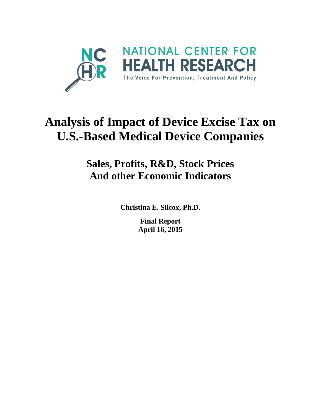

# **Analysis of Impact of Device Excise Tax on U.S.-Based Medical Device Companies**

## **Sales, Profits, R&D, Stock Prices And other Economic Indicators**

**Christina E. Silcox, Ph.D.**

**Final Report April 16, 2015**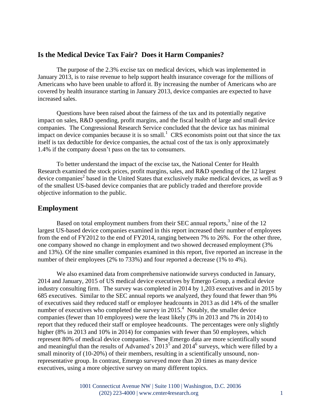#### **Is the Medical Device Tax Fair? Does it Harm Companies?**

The purpose of the 2.3% excise tax on medical devices, which was implemented in January 2013, is to raise revenue to help support health insurance coverage for the millions of Americans who have been unable to afford it. By increasing the number of Americans who are covered by health insurance starting in January 2013, device companies are expected to have increased sales.

Questions have been raised about the fairness of the tax and its potentially negative impact on sales, R&D spending, profit margins, and the fiscal health of large and small device companies. The Congressional Research Service concluded that the device tax has minimal impact on device companies because it is so small.<sup>1</sup> CRS economists point out that since the tax itself is tax deductible for device companies, the actual cost of the tax is only approximately 1.4% if the company doesn't pass on the tax to consumers.

To better understand the impact of the excise tax, the National Center for Health Research examined the stock prices, profit margins, sales, and R&D spending of the 12 largest device companies<sup>2</sup> based in the United States that exclusively make medical devices, as well as 9 of the smallest US-based device companies that are publicly traded and therefore provide objective information to the public.

#### **Employment**

Based on total employment numbers from their SEC annual reports,<sup>3</sup> nine of the 12 largest US-based device companies examined in this report increased their number of employees from the end of FY2012 to the end of FY2014, ranging between 7% to 26%. For the other three, one company showed no change in employment and two showed decreased employment (3% and 13%). Of the nine smaller companies examined in this report, five reported an increase in the number of their employees (2% to 733%) and four reported a decrease (1% to 4%).

We also examined data from comprehensive nationwide surveys conducted in January, 2014 and January, 2015 of US medical device executives by Emergo Group, a medical device industry consulting firm. The survey was completed in 2014 by 1,203 executives and in 2015 by 685 executives. Similar to the SEC annual reports we analyzed, they found that fewer than 9% of executives said they reduced staff or employee headcounts in 2013 as did 14% of the smaller number of executives who completed the survey in  $2015<sup>4</sup>$  Notably, the smaller device companies (fewer than 10 employees) were the least likely (3% in 2013 and 7% in 2014) to report that they reduced their staff or employee headcounts. The percentages were only slightly higher (8% in 2013 and 10% in 2014) for companies with fewer than 50 employees, which represent 80% of medical device companies. These Emergo data are more scientifically sound and meaningful than the results of Advamed's  $2013<sup>5</sup>$  and  $2014<sup>6</sup>$  surveys, which were filled by a small minority of (10-20%) of their members, resulting in a scientifically unsound, nonrepresentative group. In contrast, Emergo surveyed more than 20 times as many device executives, using a more objective survey on many different topics.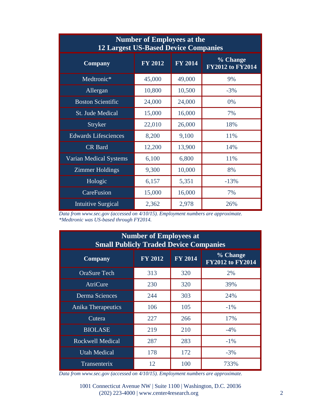| <b>Number of Employees at the</b><br><b>12 Largest US-Based Device Companies</b> |                |                |                              |  |  |  |
|----------------------------------------------------------------------------------|----------------|----------------|------------------------------|--|--|--|
| <b>Company</b>                                                                   | <b>FY 2012</b> | <b>FY 2014</b> | % Change<br>FY2012 to FY2014 |  |  |  |
| Medtronic*                                                                       | 45,000         | 49,000         | 9%                           |  |  |  |
| Allergan                                                                         | 10,800         | 10,500         | $-3%$                        |  |  |  |
| <b>Boston Scientific</b>                                                         | 24,000         | 24,000         | 0%                           |  |  |  |
| <b>St. Jude Medical</b>                                                          | 15,000         | 16,000         | 7%                           |  |  |  |
| <b>Stryker</b>                                                                   | 22,010         | 26,000         | 18%                          |  |  |  |
| <b>Edwards Lifesciences</b>                                                      | 8,200          | 9,100          | 11%                          |  |  |  |
| <b>CR</b> Bard                                                                   | 12,200         | 13,900         | 14%                          |  |  |  |
| Varian Medical Systems                                                           | 6,100          | 6,800          | 11%                          |  |  |  |
| <b>Zimmer Holdings</b>                                                           | 9,300          | 10,000         | 8%                           |  |  |  |
| Hologic                                                                          | 6,157          | 5,351          | $-13%$                       |  |  |  |
| CareFusion                                                                       | 15,000         | 16,000         | 7%                           |  |  |  |
| <b>Intuitive Surgical</b>                                                        | 2,362          | 2,978          | 26%                          |  |  |  |

*Data from www.sec.gov (accessed on 4/10/15). Employment numbers are approximate. \*Medtronic was US-based through FY2014.*

| <b>Number of Employees at</b><br><b>Small Publicly Traded Device Companies</b> |                |                |                                     |  |  |  |
|--------------------------------------------------------------------------------|----------------|----------------|-------------------------------------|--|--|--|
| <b>Company</b>                                                                 | <b>FY 2012</b> | <b>FY 2014</b> | % Change<br><b>FY2012 to FY2014</b> |  |  |  |
| <b>OraSure Tech</b>                                                            | 313            | 320            | 2%                                  |  |  |  |
| <b>AtriCure</b>                                                                | 230            | 320            | 39%                                 |  |  |  |
| Derma Sciences                                                                 | 244            | 303            | 24%                                 |  |  |  |
| Anika Therapeutics                                                             | 106            | 105            | $-1\%$                              |  |  |  |
| Cutera                                                                         | 227            | 266            | 17%                                 |  |  |  |
| <b>BIOLASE</b>                                                                 | 219            | 210            | $-4\%$                              |  |  |  |
| <b>Rockwell Medical</b>                                                        | 287            | 283            | $-1\%$                              |  |  |  |
| <b>Utah Medical</b>                                                            | 178            | 172            | $-3%$                               |  |  |  |
| Transenterix                                                                   | 12             | 100            | 733%                                |  |  |  |

*Data from www.sec.gov (accessed on 4/10/15). Employment numbers are approximate.*

1001 Connecticut Avenue NW | Suite 1100 | Washington, D.C. 20036 (202) 223-4000 | www.center4research.org 2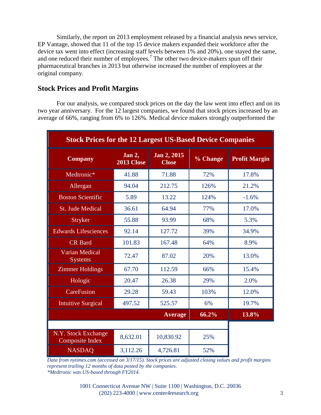Similarly, the report on 2013 employment released by a financial analysis news service, EP Vantage, showed that 11 of the top 15 device makers expanded their workforce after the device tax went into effect (increasing staff levels between 1% and 20%), one stayed the same, and one reduced their number of employees.<sup>7</sup> The other two device-makers spun off their pharmaceutical branches in 2013 but otherwise increased the number of employees at the original company.

#### **Stock Prices and Profit Margins**

For our analysis, we compared stock prices on the day the law went into effect and on its two year anniversary. For the 12 largest companies, we found that stock prices increased by an average of 66%, ranging from 6% to 126%. Medical device makers strongly outperformed the

| <b>Stock Prices for the 12 Largest US-Based Device Companies</b> |                             |                             |          |                      |  |
|------------------------------------------------------------------|-----------------------------|-----------------------------|----------|----------------------|--|
| <b>Company</b>                                                   | Jan 2,<br><b>2013 Close</b> | Jan 2, 2015<br><b>Close</b> | % Change | <b>Profit Margin</b> |  |
| Medtronic*                                                       | 41.88                       | 71.88                       | 72%      | 17.8%                |  |
| Allergan                                                         | 94.04                       | 212.75                      | 126%     | 21.2%                |  |
| <b>Boston Scientific</b>                                         | 5.89                        | 13.22                       | 124%     | $-1.6%$              |  |
| <b>St. Jude Medical</b>                                          | 36.61                       | 64.94                       | 77%      | 17.0%                |  |
| <b>Stryker</b>                                                   | 55.88                       | 93.99                       | 68%      | 5.3%                 |  |
| <b>Edwards Lifesciences</b>                                      | 92.14                       | 127.72                      | 39%      | 34.9%                |  |
| <b>CR</b> Bard                                                   | 101.83                      | 167.48                      | 64%      | 8.9%                 |  |
| <b>Varian Medical</b><br><b>Systems</b>                          | 72.47                       | 87.02                       | 20%      | 13.0%                |  |
| <b>Zimmer Holdings</b>                                           | 67.70                       | 112.59                      | 66%      | 15.4%                |  |
| Hologic                                                          | 20.47                       | 26.38                       | 29%      | 2.0%                 |  |
| CareFusion                                                       | 29.28                       | 59.43                       | 103%     | 12.0%                |  |
| <b>Intuitive Surgical</b>                                        | 497.52                      | 525.57                      | 6%       | 19.7%                |  |
|                                                                  |                             | <b>Average</b>              | 66.2%    | 13.8%                |  |
|                                                                  |                             |                             |          |                      |  |
| N.Y. Stock Exchange<br><b>Composite Index</b>                    | 8,632.01                    | 10,830.92                   | 25%      |                      |  |
| <b>NASDAQ</b>                                                    | 3,112.26                    | 4,726.81                    | 52%      |                      |  |

*Data from nytimes.com (accessed on 3/17/15). Stock prices are adjusted closing values and profit margins represent trailing 12 months of data posted by the companies*. *\*Medtronic was US-based through FY2014.*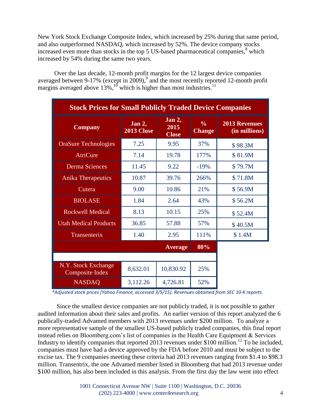New York Stock Exchange Composite Index, which increased by 25% during that same period, and also outperformed NASDAQ, which increased by 52%. The device company stocks increased even more than stocks in the top 5 US-based pharmaceutical companies,<sup>8</sup> which increased by 54% during the same two years.

Over the last decade, 12-month profit margins for the 12 largest device companies averaged between 9-17% (except in 2009),<sup>9</sup> and the most recently reported 12-month profit margins averaged above 13%, $10^{10}$  which is higher than most industries.<sup>11</sup>

| <b>Stock Prices for Small Publicly Traded Device Companies</b> |                             |                                |                                |                                       |  |
|----------------------------------------------------------------|-----------------------------|--------------------------------|--------------------------------|---------------------------------------|--|
| <b>Company</b>                                                 | Jan 2,<br><b>2013 Close</b> | Jan 2,<br>2015<br><b>Close</b> | $\frac{0}{0}$<br><b>Change</b> | <b>2013 Revenues</b><br>(in millions) |  |
| <b>OraSure Technologies</b>                                    | 7.25                        | 9.95                           | 37%                            | \$98.3M                               |  |
| <b>AtriCure</b>                                                | 7.14                        | 19.78                          | 177%                           | \$81.9M                               |  |
| <b>Derma Sciences</b>                                          | 11.45                       | 9.22                           | $-19%$                         | \$79.7M                               |  |
| <b>Anika Therapeutics</b>                                      | 10.87                       | 39.76                          | 266%                           | \$71.8M                               |  |
| Cutera                                                         | 9.00                        | 10.86                          | 21%                            | \$56.9M                               |  |
| <b>BIOLASE</b>                                                 | 1.84                        | 2.64                           | 43%                            | \$56.2M                               |  |
| <b>Rockwell Medical</b>                                        | 8.13                        | 10.15                          | 25%                            | \$52.4M                               |  |
| <b>Utah Medical Products</b>                                   | 36.85                       | 57.88                          | 57%                            | \$40.5M                               |  |
| Transenterix                                                   | 1.40                        | 2.95                           | 111%                           | \$1.4M                                |  |
|                                                                |                             | <b>Average</b>                 | 80%                            |                                       |  |
|                                                                |                             |                                |                                |                                       |  |
| N.Y. Stock Exchange<br><b>Composite Index</b>                  | 8,632.01                    | 10,830.92                      | 25%                            |                                       |  |
| <b>NASDAQ</b>                                                  | 3,112.26                    | 4,726.81                       | 52%                            |                                       |  |

*\*Adjusted stock prices (Yahoo Finance, accessed 3/5/15). Revenues obtained from SEC 10-K reports.*

Since the smallest device companies are not publicly traded, it is not possible to gather audited information about their sales and profits. An earlier version of this report analyzed the 6 publically-traded Advamed members with 2013 revenues under \$200 million. To analyze a more representative sample of the smallest US-based publicly traded companies, this final report instead relies on Bloomberg.com's list of companies in the Health Care Equipment & Services Industry to identify companies that reported 2013 revenues under \$100 million.<sup>12</sup> To be included, companies must have had a device approved by the FDA before 2010 and must be subject to the excise tax. The 9 companies meeting these criteria had 2013 revenues ranging from \$1.4 to \$98.3 million. Transentrix, the one Advamed member listed in Bloomberg that had 2013 revenue under \$100 million, has also been included in this analysis. From the first day the law went into effect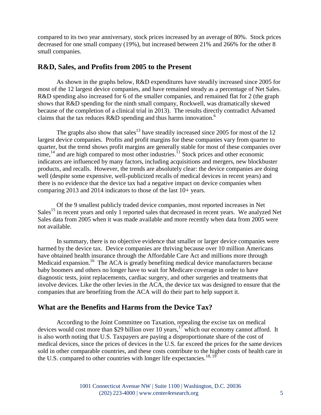compared to its two year anniversary, stock prices increased by an average of 80%. Stock prices decreased for one small company (19%), but increased between 21% and 266% for the other 8 small companies.

#### **R&D, Sales, and Profits from 2005 to the Present**

As shown in the graphs below, R&D expenditures have steadily increased since 2005 for most of the 12 largest device companies, and have remained steady as a percentage of Net Sales. R&D spending also increased for 6 of the smaller companies, and remained flat for 2 (the graph shows that R&D spending for the ninth small company, Rockwell, was dramatically skewed because of the completion of a clinical trial in 2013). The results directly contradict Advamed claims that the tax reduces  $R&D$  spending and thus harms innovation.<sup>6</sup>

The graphs also show that sales<sup>13</sup> have steadily increased since 2005 for most of the 12 largest device companies. Profits and profit margins for these companies vary from quarter to quarter, but the trend shows profit margins are generally stable for most of these companies over  $time<sub>14</sub>$  and are high compared to most other industries.<sup>11</sup> Stock prices and other economic indicators are influenced by many factors, including acquisitions and mergers, new blockbuster products, and recalls. However, the trends are absolutely clear: the device companies are doing well (despite some expensive, well-publicized recalls of medical devices in recent years) and there is no evidence that the device tax had a negative impact on device companies when comparing 2013 and 2014 indicators to those of the last 10+ years.

Of the 9 smallest publicly traded device companies, most reported increases in Net Sales<sup>15</sup> in recent years and only 1 reported sales that decreased in recent years. We analyzed Net Sales data from 2005 when it was made available and more recently when data from 2005 were not available.

In summary, there is no objective evidence that smaller or larger device companies were harmed by the device tax. Device companies are thriving because over 10 million Americans have obtained health insurance through the Affordable Care Act and millions more through Medicaid expansion.<sup>16</sup> The ACA is greatly benefiting medical device manufacturers because baby boomers and others no longer have to wait for Medicare coverage in order to have diagnostic tests, joint replacements, cardiac surgery, and other surgeries and treatments that involve devices. Like the other levies in the ACA, the device tax was designed to ensure that the companies that are benefiting from the ACA will do their part to help support it.

#### **What are the Benefits and Harms from the Device Tax?**

According to the Joint Committee on Taxation, repealing the excise tax on medical devices would cost more than \$29 billion over 10 years,<sup>17</sup> which our economy cannot afford. It is also worth noting that U.S. Taxpayers are paying a disproportionate share of the cost of medical devices, since the prices of devices in the U.S. far exceed the prices for the same devices sold in other comparable countries, and these costs contribute to the higher costs of health care in the U.S. compared to other countries with longer life expectancies.<sup>18, 19</sup>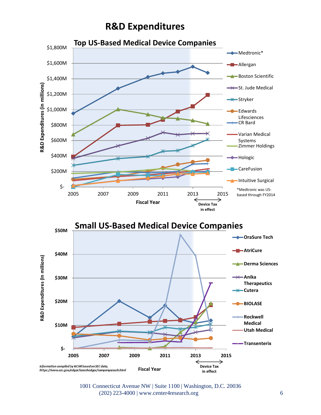### **R&D Expenditures**



1001 Connecticut Avenue NW | Suite 1100 | Washington, D.C. 20036 (202) 223-4000 | www.center4research.org 6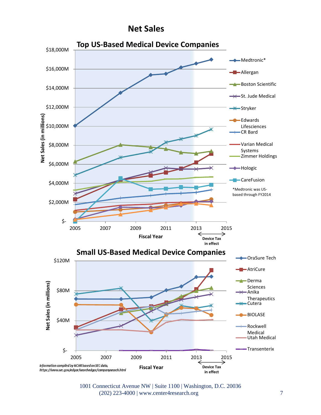

1001 Connecticut Avenue NW | Suite 1100 | Washington, D.C. 20036 (202) 223-4000 | www.center4research.org 7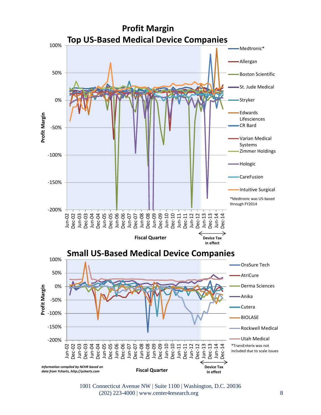

1001 Connecticut Avenue NW | Suite 1100 | Washington, D.C. 20036 (202) 223-4000 | www.center4research.org 8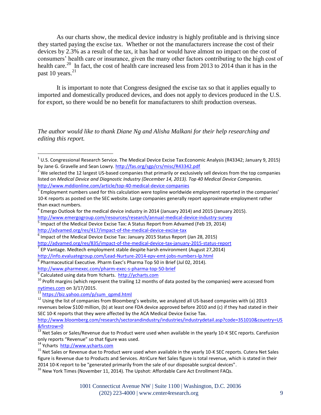As our charts show, the medical device industry is highly profitable and is thriving since they started paying the excise tax. Whether or not the manufacturers increase the cost of their devices by 2.3% as a result of the tax, it has had or would have almost no impact on the cost of consumers' health care or insurance, given the many other factors contributing to the high cost of health care.<sup>20</sup> In fact, the cost of health care increased less from 2013 to 2014 than it has in the past 10 years.<sup>21</sup>

It is important to note that Congress designed the excise tax so that it applies equally to imported and domestically produced devices, and does not apply to devices produced in the U.S. for export, so there would be no benefit for manufacturers to shift production overseas.

*The author would like to thank Diane Ng and Alisha Malkani for their help researching and editing this report.*

<http://www.emergogroup.com/resources/research/annual-medical-device-industry-survey> <sup>5</sup> Impact of the Medical Device Excise Tax: A Status Report from Advamed (Feb 19, 2014) <http://advamed.org/res/417/impact-of-the-medical-device-excise-tax>

<http://www.pharmexec.com/pharm-exec-s-pharma-top-50-brief>

<sup>9</sup> Calculated using data from Ycharts. [http://ycharts.com](http://ycharts.com/)

 $10$  Profit margins (which represent the trailing 12 months of data posted by the companies) were accessed from [nytimes.com](http://www.nytimes.com/) on 3/17/2015.

<sup>11</sup> [https://biz.yahoo.com/p/sum\\_qpmd.html](https://biz.yahoo.com/p/sum_qpmd.html)

 $\overline{a}$ 

<sup>14</sup> Ycharts [http://www.ycharts.com](http://www.ycharts.com/)

 $^1$  U.S. Congressional Research Service. The Medical Device Excise Tax:Economic Analysis (R43342; January 9, 2015) by Jane G. Gravelle and Sean Lowry.<http://fas.org/sgp/crs/misc/R43342.pdf>

<sup>&</sup>lt;sup>2</sup> We selected the 12 largest US-based companies that primarily or exclusively sell devices from the top companies listed on *Medical Device and Diagnostic Industry (December 14, 2013). Top 40 Medical Device Companies.* <http://www.mddionline.com/article/top-40-medical-device-companies>

 $3$  Employment numbers used for this calculation were topline worldwide employment reported in the companies' 10-K reports as posted on the SEC website. Large companies generally report approximate employment rather than exact numbers.

 $^4$  Emergo Outlook for the medical device industry in 2014 (January 2014) and 2015 (January 2015).

 $^6$  Impact of the Medical Device Excise Tax: January 2015 Status Report (Jan 28, 2015)

<http://advamed.org/res/835/impact-of-the-medical-device-tax-january-2015-status-report>

 $^7$  EP Vantage. Medtech employment stable despite harsh environment (August 27,2014)

<http://info.evaluategroup.com/Lead-Nurture-2014-epv-emt-jobs-numbers-lp.html>

 $^8$  Pharmaceutical Executive. Pharm Exec's Pharma Top 50 in Brief (Jul 02, 2014).

<sup>&</sup>lt;sup>12</sup> Using the list of companies from Bloomberg's website, we analyzed all US-based companies with (a) 2013 revenues below \$100 million, (b) at least one FDA device approved before 2010 and (c) if they had stated in their SEC 10-K reports that they were affected by the ACA Medical Device Excise Tax.

[http://www.bloomberg.com/research/sectorandindustry/industries/industrydetail.asp?code=351010&country=US](http://www.bloomberg.com/research/sectorandindustry/industries/industrydetail.asp?code=351010&country=US&firstrow=0) [&firstrow=0](http://www.bloomberg.com/research/sectorandindustry/industries/industrydetail.asp?code=351010&country=US&firstrow=0)

 $^{13}$  Net Sales or Sales/Revenue due to Product were used when available in the yearly 10-K SEC reports. Carefusion only reports "Revenue" so that figure was used.

<sup>15</sup> Net Sales or Revenue due to Product were used when available in the yearly 10-K SEC reports. Cutera Net Sales figure is Revenue due to Products and Services. AtriCure Net Sales figure is total revenue, which is stated in their 2014 10-K report to be "generated primarily from the sale of our disposable surgical devices".

<sup>&</sup>lt;sup>16</sup> New York Times (November 11, 2014). The Upshot: Affordable Care Act Enrollment FAQs.